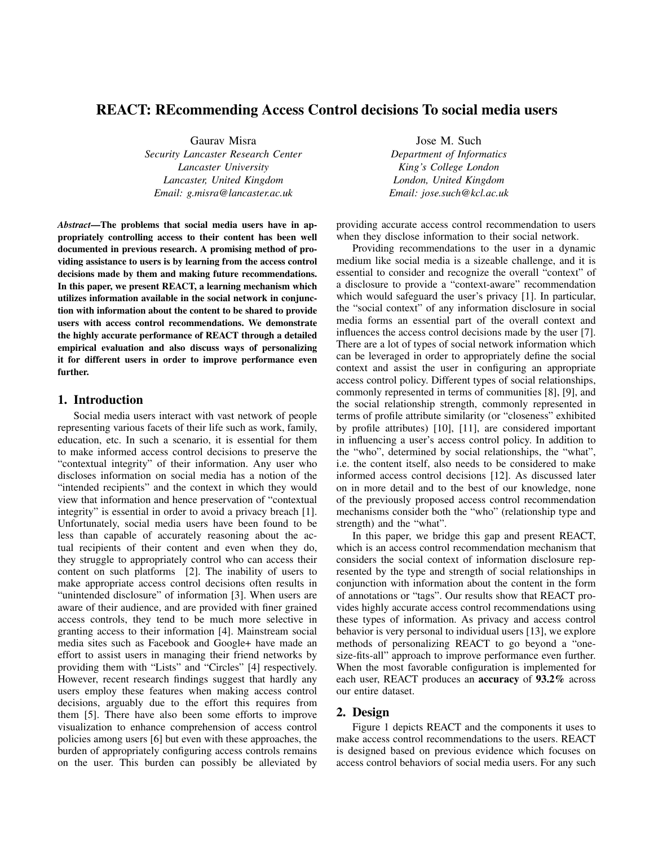# REACT: REcommending Access Control decisions To social media users

Gaurav Misra

*Security Lancaster Research Center Lancaster University Lancaster, United Kingdom Email: g.misra@lancaster.ac.uk*

*Abstract*—The problems that social media users have in appropriately controlling access to their content has been well documented in previous research. A promising method of providing assistance to users is by learning from the access control decisions made by them and making future recommendations. In this paper, we present REACT, a learning mechanism which utilizes information available in the social network in conjunction with information about the content to be shared to provide users with access control recommendations. We demonstrate the highly accurate performance of REACT through a detailed empirical evaluation and also discuss ways of personalizing it for different users in order to improve performance even further.

### 1. Introduction

Social media users interact with vast network of people representing various facets of their life such as work, family, education, etc. In such a scenario, it is essential for them to make informed access control decisions to preserve the "contextual integrity" of their information. Any user who discloses information on social media has a notion of the "intended recipients" and the context in which they would view that information and hence preservation of "contextual integrity" is essential in order to avoid a privacy breach [1]. Unfortunately, social media users have been found to be less than capable of accurately reasoning about the actual recipients of their content and even when they do, they struggle to appropriately control who can access their content on such platforms [2]. The inability of users to make appropriate access control decisions often results in "unintended disclosure" of information [3]. When users are aware of their audience, and are provided with finer grained access controls, they tend to be much more selective in granting access to their information [4]. Mainstream social media sites such as Facebook and Google+ have made an effort to assist users in managing their friend networks by providing them with "Lists" and "Circles" [4] respectively. However, recent research findings suggest that hardly any users employ these features when making access control decisions, arguably due to the effort this requires from them [5]. There have also been some efforts to improve visualization to enhance comprehension of access control policies among users [6] but even with these approaches, the burden of appropriately configuring access controls remains on the user. This burden can possibly be alleviated by

Jose M. Such *Department of Informatics King's College London London, United Kingdom Email: jose.such@kcl.ac.uk*

providing accurate access control recommendation to users when they disclose information to their social network.

Providing recommendations to the user in a dynamic medium like social media is a sizeable challenge, and it is essential to consider and recognize the overall "context" of a disclosure to provide a "context-aware" recommendation which would safeguard the user's privacy [1]. In particular, the "social context" of any information disclosure in social media forms an essential part of the overall context and influences the access control decisions made by the user [7]. There are a lot of types of social network information which can be leveraged in order to appropriately define the social context and assist the user in configuring an appropriate access control policy. Different types of social relationships, commonly represented in terms of communities [8], [9], and the social relationship strength, commonly represented in terms of profile attribute similarity (or "closeness" exhibited by profile attributes) [10], [11], are considered important in influencing a user's access control policy. In addition to the "who", determined by social relationships, the "what", i.e. the content itself, also needs to be considered to make informed access control decisions [12]. As discussed later on in more detail and to the best of our knowledge, none of the previously proposed access control recommendation mechanisms consider both the "who" (relationship type and strength) and the "what".

In this paper, we bridge this gap and present REACT, which is an access control recommendation mechanism that considers the social context of information disclosure represented by the type and strength of social relationships in conjunction with information about the content in the form of annotations or "tags". Our results show that REACT provides highly accurate access control recommendations using these types of information. As privacy and access control behavior is very personal to individual users [13], we explore methods of personalizing REACT to go beyond a "onesize-fits-all" approach to improve performance even further. When the most favorable configuration is implemented for each user, REACT produces an accuracy of 93.2% across our entire dataset.

# 2. Design

Figure 1 depicts REACT and the components it uses to make access control recommendations to the users. REACT is designed based on previous evidence which focuses on access control behaviors of social media users. For any such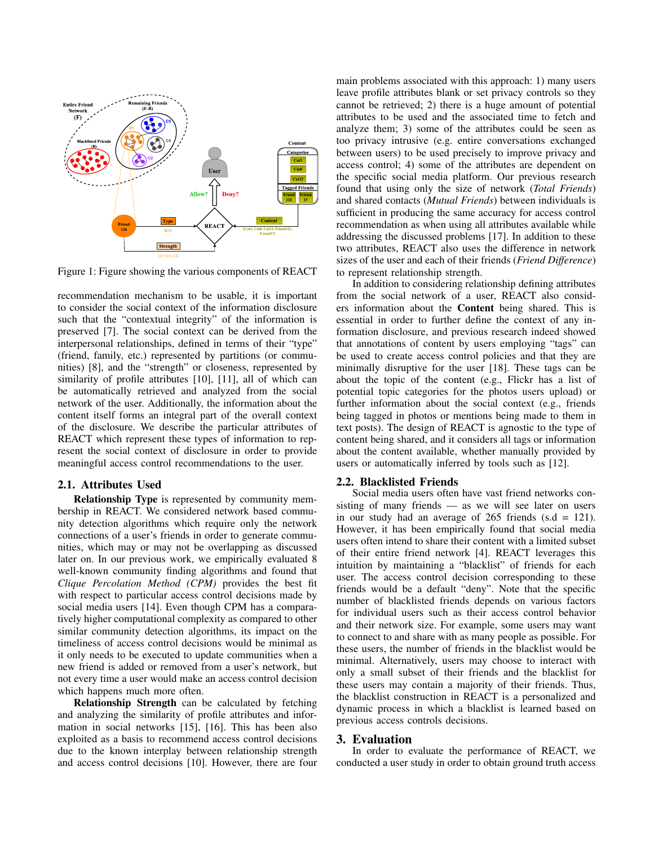

Figure 1: Figure showing the various components of REACT

recommendation mechanism to be usable, it is important to consider the social context of the information disclosure such that the "contextual integrity" of the information is preserved [7]. The social context can be derived from the interpersonal relationships, defined in terms of their "type" (friend, family, etc.) represented by partitions (or communities) [8], and the "strength" or closeness, represented by similarity of profile attributes [10], [11], all of which can be automatically retrieved and analyzed from the social network of the user. Additionally, the information about the content itself forms an integral part of the overall context of the disclosure. We describe the particular attributes of REACT which represent these types of information to represent the social context of disclosure in order to provide meaningful access control recommendations to the user.

### 2.1. Attributes Used

Relationship Type is represented by community membership in REACT. We considered network based community detection algorithms which require only the network connections of a user's friends in order to generate communities, which may or may not be overlapping as discussed later on. In our previous work, we empirically evaluated 8 well-known community finding algorithms and found that *Clique Percolation Method (CPM)* provides the best fit with respect to particular access control decisions made by social media users [14]. Even though CPM has a comparatively higher computational complexity as compared to other similar community detection algorithms, its impact on the timeliness of access control decisions would be minimal as it only needs to be executed to update communities when a new friend is added or removed from a user's network, but not every time a user would make an access control decision which happens much more often.

Relationship Strength can be calculated by fetching and analyzing the similarity of profile attributes and information in social networks [15], [16]. This has been also exploited as a basis to recommend access control decisions due to the known interplay between relationship strength and access control decisions [10]. However, there are four main problems associated with this approach: 1) many users leave profile attributes blank or set privacy controls so they cannot be retrieved; 2) there is a huge amount of potential attributes to be used and the associated time to fetch and analyze them; 3) some of the attributes could be seen as too privacy intrusive (e.g. entire conversations exchanged between users) to be used precisely to improve privacy and access control; 4) some of the attributes are dependent on the specific social media platform. Our previous research found that using only the size of network (*Total Friends*) and shared contacts (*Mutual Friends*) between individuals is sufficient in producing the same accuracy for access control recommendation as when using all attributes available while addressing the discussed problems [17]. In addition to these two attributes, REACT also uses the difference in network sizes of the user and each of their friends (*Friend Difference*) to represent relationship strength.

In addition to considering relationship defining attributes from the social network of a user, REACT also considers information about the Content being shared. This is essential in order to further define the context of any information disclosure, and previous research indeed showed that annotations of content by users employing "tags" can be used to create access control policies and that they are minimally disruptive for the user [18]. These tags can be about the topic of the content (e.g., Flickr has a list of potential topic categories for the photos users upload) or further information about the social context (e.g., friends being tagged in photos or mentions being made to them in text posts). The design of REACT is agnostic to the type of content being shared, and it considers all tags or information about the content available, whether manually provided by users or automatically inferred by tools such as [12].

#### 2.2. Blacklisted Friends

Social media users often have vast friend networks consisting of many friends — as we will see later on users in our study had an average of  $265$  friends (s.d = 121). However, it has been empirically found that social media users often intend to share their content with a limited subset of their entire friend network [4]. REACT leverages this intuition by maintaining a "blacklist" of friends for each user. The access control decision corresponding to these friends would be a default "deny". Note that the specific number of blacklisted friends depends on various factors for individual users such as their access control behavior and their network size. For example, some users may want to connect to and share with as many people as possible. For these users, the number of friends in the blacklist would be minimal. Alternatively, users may choose to interact with only a small subset of their friends and the blacklist for these users may contain a majority of their friends. Thus, the blacklist construction in REACT is a personalized and dynamic process in which a blacklist is learned based on previous access controls decisions.

#### 3. Evaluation

In order to evaluate the performance of REACT, we conducted a user study in order to obtain ground truth access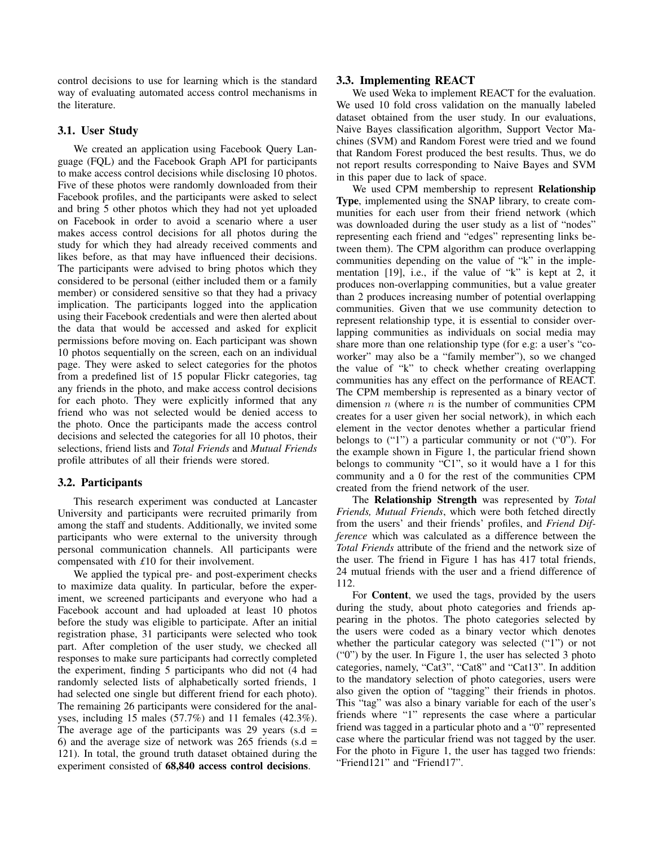control decisions to use for learning which is the standard way of evaluating automated access control mechanisms in the literature.

### 3.1. User Study

We created an application using Facebook Query Language (FQL) and the Facebook Graph API for participants to make access control decisions while disclosing 10 photos. Five of these photos were randomly downloaded from their Facebook profiles, and the participants were asked to select and bring 5 other photos which they had not yet uploaded on Facebook in order to avoid a scenario where a user makes access control decisions for all photos during the study for which they had already received comments and likes before, as that may have influenced their decisions. The participants were advised to bring photos which they considered to be personal (either included them or a family member) or considered sensitive so that they had a privacy implication. The participants logged into the application using their Facebook credentials and were then alerted about the data that would be accessed and asked for explicit permissions before moving on. Each participant was shown 10 photos sequentially on the screen, each on an individual page. They were asked to select categories for the photos from a predefined list of 15 popular Flickr categories, tag any friends in the photo, and make access control decisions for each photo. They were explicitly informed that any friend who was not selected would be denied access to the photo. Once the participants made the access control decisions and selected the categories for all 10 photos, their selections, friend lists and *Total Friends* and *Mutual Friends* profile attributes of all their friends were stored.

# 3.2. Participants

This research experiment was conducted at Lancaster University and participants were recruited primarily from among the staff and students. Additionally, we invited some participants who were external to the university through personal communication channels. All participants were compensated with *£*10 for their involvement.

We applied the typical pre- and post-experiment checks to maximize data quality. In particular, before the experiment, we screened participants and everyone who had a Facebook account and had uploaded at least 10 photos before the study was eligible to participate. After an initial registration phase, 31 participants were selected who took part. After completion of the user study, we checked all responses to make sure participants had correctly completed the experiment, finding 5 participants who did not (4 had randomly selected lists of alphabetically sorted friends, 1 had selected one single but different friend for each photo). The remaining 26 participants were considered for the analyses, including 15 males (57.7%) and 11 females (42.3%). The average age of the participants was 29 years  $(s.d =$ 6) and the average size of network was  $265$  friends (s.d = 121). In total, the ground truth dataset obtained during the experiment consisted of 68,840 access control decisions.

### 3.3. Implementing REACT

We used Weka to implement REACT for the evaluation. We used 10 fold cross validation on the manually labeled dataset obtained from the user study. In our evaluations, Naive Bayes classification algorithm, Support Vector Machines (SVM) and Random Forest were tried and we found that Random Forest produced the best results. Thus, we do not report results corresponding to Naive Bayes and SVM in this paper due to lack of space.

We used CPM membership to represent Relationship Type, implemented using the SNAP library, to create communities for each user from their friend network (which was downloaded during the user study as a list of "nodes" representing each friend and "edges" representing links between them). The CPM algorithm can produce overlapping communities depending on the value of "k" in the implementation [19], i.e., if the value of "k" is kept at 2, it produces non-overlapping communities, but a value greater than 2 produces increasing number of potential overlapping communities. Given that we use community detection to represent relationship type, it is essential to consider overlapping communities as individuals on social media may share more than one relationship type (for e.g: a user's "coworker" may also be a "family member"), so we changed the value of "k" to check whether creating overlapping communities has any effect on the performance of REACT. The CPM membership is represented as a binary vector of dimension  $n$  (where  $n$  is the number of communities CPM creates for a user given her social network), in which each element in the vector denotes whether a particular friend belongs to ("1") a particular community or not ("0"). For the example shown in Figure 1, the particular friend shown belongs to community "C1", so it would have a 1 for this community and a 0 for the rest of the communities CPM created from the friend network of the user.

The Relationship Strength was represented by *Total Friends, Mutual Friends*, which were both fetched directly from the users' and their friends' profiles, and *Friend Difference* which was calculated as a difference between the *Total Friends* attribute of the friend and the network size of the user. The friend in Figure 1 has has 417 total friends, 24 mutual friends with the user and a friend difference of 112.

For Content, we used the tags, provided by the users during the study, about photo categories and friends appearing in the photos. The photo categories selected by the users were coded as a binary vector which denotes whether the particular category was selected ("1") or not ("0") by the user. In Figure 1, the user has selected 3 photo categories, namely, "Cat3", "Cat8" and "Cat13". In addition to the mandatory selection of photo categories, users were also given the option of "tagging" their friends in photos. This "tag" was also a binary variable for each of the user's friends where "1" represents the case where a particular friend was tagged in a particular photo and a "0" represented case where the particular friend was not tagged by the user. For the photo in Figure 1, the user has tagged two friends: "Friend121" and "Friend17".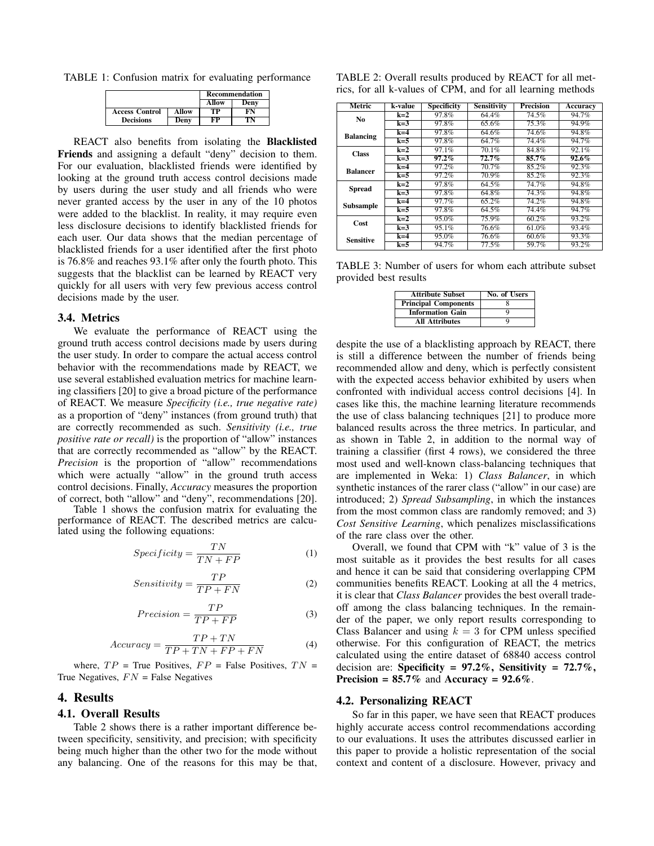TABLE 1: Confusion matrix for evaluating performance

|                       |       | <b>Recommendation</b> |      |  |
|-----------------------|-------|-----------------------|------|--|
|                       |       | <b>Allow</b>          | Deny |  |
| <b>Access Control</b> | Allow | ТP                    | FN   |  |
| <b>Decisions</b>      | Denv  | FP                    |      |  |

REACT also benefits from isolating the Blacklisted Friends and assigning a default "deny" decision to them. For our evaluation, blacklisted friends were identified by looking at the ground truth access control decisions made by users during the user study and all friends who were never granted access by the user in any of the 10 photos were added to the blacklist. In reality, it may require even less disclosure decisions to identify blacklisted friends for each user. Our data shows that the median percentage of blacklisted friends for a user identified after the first photo is 76.8% and reaches 93.1% after only the fourth photo. This suggests that the blacklist can be learned by REACT very quickly for all users with very few previous access control decisions made by the user.

#### 3.4. Metrics

We evaluate the performance of REACT using the ground truth access control decisions made by users during the user study. In order to compare the actual access control behavior with the recommendations made by REACT, we use several established evaluation metrics for machine learning classifiers [20] to give a broad picture of the performance of REACT. We measure *Specificity (i.e., true negative rate)* as a proportion of "deny" instances (from ground truth) that are correctly recommended as such. *Sensitivity (i.e., true positive rate or recall)* is the proportion of "allow" instances that are correctly recommended as "allow" by the REACT. *Precision* is the proportion of "allow" recommendations which were actually "allow" in the ground truth access control decisions. Finally, *Accuracy* measures the proportion of correct, both "allow" and "deny", recommendations [20].

Table 1 shows the confusion matrix for evaluating the performance of REACT. The described metrics are calculated using the following equations:

$$
Specificity = \frac{TN}{TN + FP}
$$
 (1)

$$
Sensitivity = \frac{TP}{TP + FN}
$$
 (2)

$$
Precision = \frac{TP}{TP + FP}
$$
 (3)

$$
Accuracy = \frac{TP + TN}{TP + TN + FP + FN}
$$
 (4)

where,  $TP = True$  Positives,  $FP = False$  Positives,  $TN =$ True Negatives,  $FN$  = False Negatives

### 4. Results

#### 4.1. Overall Results

Table 2 shows there is a rather important difference between specificity, sensitivity, and precision; with specificity being much higher than the other two for the mode without any balancing. One of the reasons for this may be that,

| Metric           | k-value | Specificity | <b>Sensitivity</b> | <b>Precision</b> | Accuracy |
|------------------|---------|-------------|--------------------|------------------|----------|
| No.              | $k=2$   | 97.8%       | 64.4%              | 74.5%            | 94.7%    |
|                  | $k=3$   | 97.8%       | 65.6%              | 75.3%            | 94.9%    |
| <b>Balancing</b> | $k=4$   | 97.8%       | 64.6%              | 74.6%            | 94.8%    |
|                  | $k=5$   | 97.8%       | 64.7%              | 74.4%            | 94.7%    |
| <b>Class</b>     | $k=2$   | 97.1%       | 70.1%              | 84.8%            | 92.1%    |
|                  | $k=3$   | $97.2\%$    | 72.7%              | 85.7%            | $92.6\%$ |
| <b>Balancer</b>  | $k=4$   | 97.2%       | 70.7%              | 85.2%            | 92.3%    |
|                  | $k=5$   | 97.2%       | 70.9%              | 85.2%            | 92.3%    |
| <b>Spread</b>    | $k=2$   | 97.8%       | 64.5%              | 74.7%            | 94.8%    |
|                  | $k=3$   | 97.8%       | 64.8%              | 74.3%            | 94.8%    |
| <b>Subsample</b> | $k=4$   | 97.7%       | 65.2%              | 74.2%            | 94.8%    |
|                  | $k=5$   | 97.8%       | 64.5%              | 74.4%            | 94.7%    |
| Cost             | $k=2$   | 95.0%       | 75.9%              | 60.2%            | 93.2%    |
|                  | $k=3$   | 95.1%       | 76.6%              | 61.0%            | 93.4%    |
| <b>Sensitive</b> | $k=4$   | 95.0%       | 76.6%              | 60.6%            | 93.3%    |
|                  | $k=5$   | 94.7%       | 77.5%              | 59.7%            | 93.2%    |

TABLE 2: Overall results produced by REACT for all metrics, for all k-values of CPM, and for all learning methods

TABLE 3: Number of users for whom each attribute subset provided best results

| <b>Attribute Subset</b>     | No. of Users |
|-----------------------------|--------------|
| <b>Principal Components</b> |              |
| <b>Information Gain</b>     |              |
| <b>All Attributes</b>       |              |

despite the use of a blacklisting approach by REACT, there is still a difference between the number of friends being recommended allow and deny, which is perfectly consistent with the expected access behavior exhibited by users when confronted with individual access control decisions [4]. In cases like this, the machine learning literature recommends the use of class balancing techniques [21] to produce more balanced results across the three metrics. In particular, and as shown in Table 2, in addition to the normal way of training a classifier (first 4 rows), we considered the three most used and well-known class-balancing techniques that are implemented in Weka: 1) *Class Balancer*, in which synthetic instances of the rarer class ("allow" in our case) are introduced; 2) *Spread Subsampling*, in which the instances from the most common class are randomly removed; and 3) *Cost Sensitive Learning*, which penalizes misclassifications of the rare class over the other.

Overall, we found that CPM with "k" value of 3 is the most suitable as it provides the best results for all cases and hence it can be said that considering overlapping CPM communities benefits REACT. Looking at all the 4 metrics, it is clear that *Class Balancer* provides the best overall tradeoff among the class balancing techniques. In the remainder of the paper, we only report results corresponding to Class Balancer and using  $k = 3$  for CPM unless specified otherwise. For this configuration of REACT, the metrics calculated using the entire dataset of 68840 access control decision are: Specificity =  $97.2\%$ , Sensitivity =  $72.7\%$ , Precision =  $85.7\%$  and Accuracy =  $92.6\%$ .

### 4.2. Personalizing REACT

So far in this paper, we have seen that REACT produces highly accurate access control recommendations according to our evaluations. It uses the attributes discussed earlier in this paper to provide a holistic representation of the social context and content of a disclosure. However, privacy and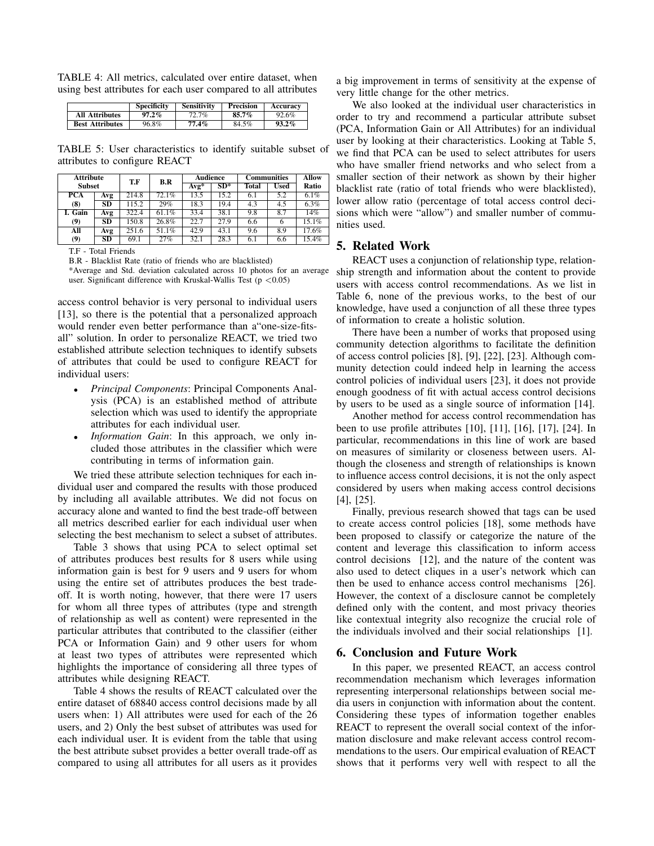TABLE 4: All metrics, calculated over entire dataset, when using best attributes for each user compared to all attributes

|                        | <b>Specificity</b> | <b>Sensitivity</b> | <b>Precision</b> | Accuracy |
|------------------------|--------------------|--------------------|------------------|----------|
| <b>All Attributes</b>  | $97.2\%$           | 72.7%              | $85.7\%$         | 92.6%    |
| <b>Best Attributes</b> | 96.8%              | $77.4\%$           | 84.5%            | $93.2\%$ |

TABLE 5: User characteristics to identify suitable subset of attributes to configure REACT

| <b>Attribute</b><br><b>Subset</b> |             | T.F   | B.R   | Audience          |       | <b>Communities</b> |             | Allow |
|-----------------------------------|-------------|-------|-------|-------------------|-------|--------------------|-------------|-------|
|                                   |             |       |       | $\overline{Avg*}$ | $SD*$ | <b>Total</b>       | <b>Used</b> | Ratio |
| PCA                               | Avg         | 214.8 | 72.1% | 13.5              | 15.2  | 6.1                | 5.2         | 6.1%  |
| (8)                               | $_{\rm SD}$ | 115.2 | 29%   | 18.3              | 19.4  | 4.3                | 4.5         | 6.3%  |
| I. Gain                           | Avg         | 322.4 | 61.1% | 33.4              | 38.1  | 9.8                | 8.7         | 14%   |
| $\boldsymbol{\left(9\right)}$     | SD          | 150.8 | 26.8% | 22.7              | 27.9  | 6.6                |             | 15.1% |
| All                               | Avg         | 251.6 | 51.1% | 42.9              | 43.1  | 9.6                | 8.9         | 17.6% |
| $\boldsymbol{\left(9\right)}$     | SD          | 69.1  | 27%   | 32.1              | 28.3  | 6.1                | 6.6         | 15.4% |

T.F - Total Friends

B.R - Blacklist Rate (ratio of friends who are blacklisted)

\*Average and Std. deviation calculated across 10 photos for an average user. Significant difference with Kruskal-Wallis Test ( $p < 0.05$ )

access control behavior is very personal to individual users [13], so there is the potential that a personalized approach would render even better performance than a"one-size-fitsall" solution. In order to personalize REACT, we tried two established attribute selection techniques to identify subsets of attributes that could be used to configure REACT for individual users:

- *Principal Components*: Principal Components Analysis (PCA) is an established method of attribute selection which was used to identify the appropriate attributes for each individual user.
- *Information Gain*: In this approach, we only included those attributes in the classifier which were contributing in terms of information gain.

We tried these attribute selection techniques for each individual user and compared the results with those produced by including all available attributes. We did not focus on accuracy alone and wanted to find the best trade-off between all metrics described earlier for each individual user when selecting the best mechanism to select a subset of attributes.

Table 3 shows that using PCA to select optimal set of attributes produces best results for 8 users while using information gain is best for 9 users and 9 users for whom using the entire set of attributes produces the best tradeoff. It is worth noting, however, that there were 17 users for whom all three types of attributes (type and strength of relationship as well as content) were represented in the particular attributes that contributed to the classifier (either PCA or Information Gain) and 9 other users for whom at least two types of attributes were represented which highlights the importance of considering all three types of attributes while designing REACT.

Table 4 shows the results of REACT calculated over the entire dataset of 68840 access control decisions made by all users when: 1) All attributes were used for each of the 26 users, and 2) Only the best subset of attributes was used for each individual user. It is evident from the table that using the best attribute subset provides a better overall trade-off as compared to using all attributes for all users as it provides a big improvement in terms of sensitivity at the expense of very little change for the other metrics.

We also looked at the individual user characteristics in order to try and recommend a particular attribute subset (PCA, Information Gain or All Attributes) for an individual user by looking at their characteristics. Looking at Table 5, we find that PCA can be used to select attributes for users who have smaller friend networks and who select from a smaller section of their network as shown by their higher blacklist rate (ratio of total friends who were blacklisted), lower allow ratio (percentage of total access control decisions which were "allow") and smaller number of communities used.

# 5. Related Work

REACT uses a conjunction of relationship type, relationship strength and information about the content to provide users with access control recommendations. As we list in Table 6, none of the previous works, to the best of our knowledge, have used a conjunction of all these three types of information to create a holistic solution.

There have been a number of works that proposed using community detection algorithms to facilitate the definition of access control policies [8], [9], [22], [23]. Although community detection could indeed help in learning the access control policies of individual users [23], it does not provide enough goodness of fit with actual access control decisions by users to be used as a single source of information [14].

Another method for access control recommendation has been to use profile attributes [10], [11], [16], [17], [24]. In particular, recommendations in this line of work are based on measures of similarity or closeness between users. Although the closeness and strength of relationships is known to influence access control decisions, it is not the only aspect considered by users when making access control decisions [4], [25].

Finally, previous research showed that tags can be used to create access control policies [18], some methods have been proposed to classify or categorize the nature of the content and leverage this classification to inform access control decisions [12], and the nature of the content was also used to detect cliques in a user's network which can then be used to enhance access control mechanisms [26]. However, the context of a disclosure cannot be completely defined only with the content, and most privacy theories like contextual integrity also recognize the crucial role of the individuals involved and their social relationships [1].

### 6. Conclusion and Future Work

In this paper, we presented REACT, an access control recommendation mechanism which leverages information representing interpersonal relationships between social media users in conjunction with information about the content. Considering these types of information together enables REACT to represent the overall social context of the information disclosure and make relevant access control recommendations to the users. Our empirical evaluation of REACT shows that it performs very well with respect to all the